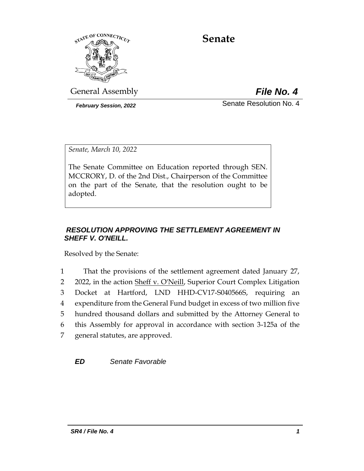

# **Senate**

General Assembly *File No. 4*

*February Session, 2022* Senate Resolution No. 4

*Senate, March 10, 2022*

The Senate Committee on Education reported through SEN. MCCRORY, D. of the 2nd Dist., Chairperson of the Committee on the part of the Senate, that the resolution ought to be adopted.

## *RESOLUTION APPROVING THE SETTLEMENT AGREEMENT IN SHEFF V. O'NEILL.*

Resolved by the Senate:

 That the provisions of the settlement agreement dated January 27, 2 2022, in the action Sheff v. O'Neill, Superior Court Complex Litigation Docket at Hartford, LND HHD-CV17-S040566S, requiring an expenditure from the General Fund budget in excess of two million five hundred thousand dollars and submitted by the Attorney General to this Assembly for approval in accordance with section 3-125a of the general statutes, are approved.

*ED Senate Favorable*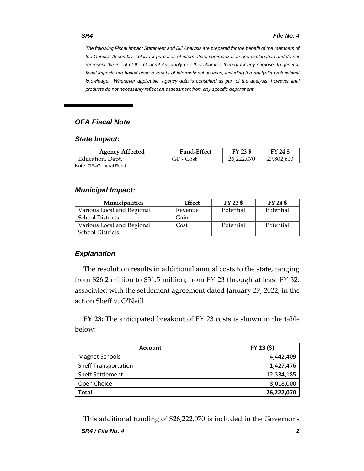*The following Fiscal Impact Statement and Bill Analysis are prepared for the benefit of the members of the General Assembly, solely for purposes of information, summarization and explanation and do not represent the intent of the General Assembly or either chamber thereof for any purpose. In general,*  fiscal impacts are based upon a variety of informational sources, including the analyst's professional *knowledge. Whenever applicable, agency data is consulted as part of the analysis, however final products do not necessarily reflect an assessment from any specific department.*

#### *OFA Fiscal Note*

#### *State Impact:*

| <b>Agency Affected</b> | <b>Fund-Effect</b> | FY 23 \$   | FY 24 \$   |
|------------------------|--------------------|------------|------------|
| Education, Dept.       | GF - Cost          | 26.222.070 | 29,802,613 |
| Note: GF=General Fund  |                    |            |            |

#### *Municipal Impact:*

| <b>Municipalities</b>      | <b>Effect</b> | FY 23 \$  | FY 24 \$  |
|----------------------------|---------------|-----------|-----------|
| Various Local and Regional | Revenue       | Potential | Potential |
| <b>School Districts</b>    | Gain          |           |           |
| Various Local and Regional | Cost          | Potential | Potential |
| <b>School Districts</b>    |               |           |           |

#### *Explanation*

The resolution results in additional annual costs to the state, ranging from \$26.2 million to \$31.5 million, from FY 23 through at least FY 32, associated with the settlement agreement dated January 27, 2022, in the action Sheff v. O'Neill.

**FY 23:** The anticipated breakout of FY 23 costs is shown in the table below:

| <b>Account</b>              | FY 23 (\$) |  |
|-----------------------------|------------|--|
| Magnet Schools              | 4,442,409  |  |
| <b>Sheff Transportation</b> | 1,427,476  |  |
| <b>Sheff Settlement</b>     | 12,334,185 |  |
| Open Choice                 | 8,018,000  |  |
| Total                       | 26,222,070 |  |

This additional funding of \$26,222,070 is included in the Governor's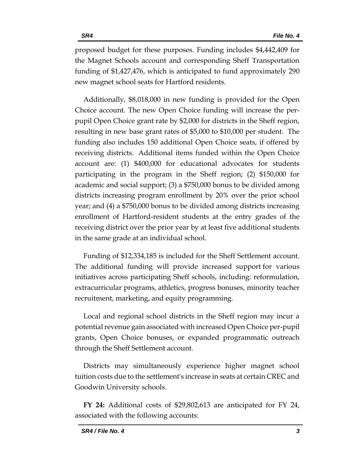proposed budget for these purposes. Funding includes \$4,442,409 for the Magnet Schools account and corresponding Sheff Transportation funding of \$1,427,476, which is anticipated to fund approximately 290 new magnet school seats for Hartford residents.

Additionally, \$8,018,000 in new funding is provided for the Open Choice account. The new Open Choice funding will increase the perpupil Open Choice grant rate by \$2,000 for districts in the Sheff region, resulting in new base grant rates of \$5,000 to \$10,000 per student. The funding also includes 150 additional Open Choice seats, if offered by receiving districts. Additional items funded within the Open Choice account are: (1) \$400,000 for educational advocates for students participating in the program in the Sheff region; (2) \$150,000 for academic and social support; (3) a \$750,000 bonus to be divided among districts increasing program enrollment by 20% over the prior school year; and (4) a \$750,000 bonus to be divided among districts increasing enrollment of Hartford-resident students at the entry grades of the receiving district over the prior year by at least five additional students in the same grade at an individual school.

Funding of \$12,334,185 is included for the Sheff Settlement account. The additional funding will provide increased support for various initiatives across participating Sheff schools, including: reformulation, extracurricular programs, athletics, progress bonuses, minority teacher recruitment, marketing, and equity programming.

Local and regional school districts in the Sheff region may incur a potential revenue gain associated with increased Open Choice per-pupil grants, Open Choice bonuses, or expanded programmatic outreach through the Sheff Settlement account.

Districts may simultaneously experience higher magnet school tuition costs due to the settlement's increase in seats at certain CREC and Goodwin University schools.

**FY 24:** Additional costs of \$29,802,613 are anticipated for FY 24, associated with the following accounts: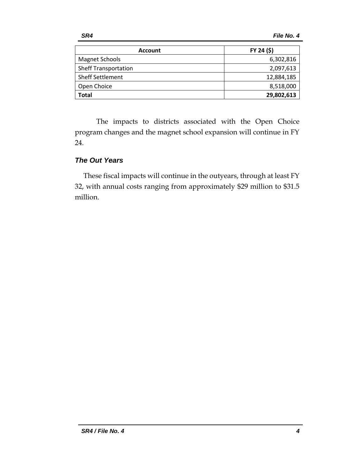| <b>Account</b>              | FY 24 (\$) |  |
|-----------------------------|------------|--|
| Magnet Schools              | 6,302,816  |  |
| <b>Sheff Transportation</b> | 2,097,613  |  |
| <b>Sheff Settlement</b>     | 12,884,185 |  |
| Open Choice                 | 8,518,000  |  |
| <b>Total</b>                | 29,802,613 |  |

The impacts to districts associated with the Open Choice program changes and the magnet school expansion will continue in FY 24.

#### *The Out Years*

These fiscal impacts will continue in the outyears, through at least FY 32, with annual costs ranging from approximately \$29 million to \$31.5 million.